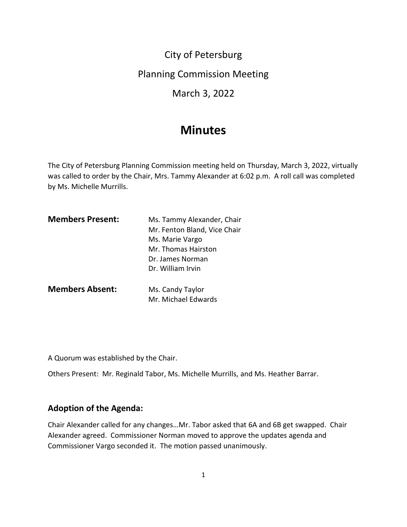City of Petersburg

Planning Commission Meeting

March 3, 2022

# **Minutes**

The City of Petersburg Planning Commission meeting held on Thursday, March 3, 2022, virtually was called to order by the Chair, Mrs. Tammy Alexander at 6:02 p.m. A roll call was completed by Ms. Michelle Murrills.

| <b>Members Present:</b> | Ms. Tammy Alexander, Chair   |
|-------------------------|------------------------------|
|                         | Mr. Fenton Bland, Vice Chair |
|                         | Ms. Marie Vargo              |
|                         | Mr. Thomas Hairston          |
|                         | Dr. James Norman             |
|                         | Dr. William Irvin            |
| <b>Members Absent:</b>  | Ms. Candy Taylor             |
|                         | Mr. Michael Edwards          |

A Quorum was established by the Chair.

Others Present: Mr. Reginald Tabor, Ms. Michelle Murrills, and Ms. Heather Barrar.

# **Adoption of the Agenda:**

Chair Alexander called for any changes…Mr. Tabor asked that 6A and 6B get swapped. Chair Alexander agreed. Commissioner Norman moved to approve the updates agenda and Commissioner Vargo seconded it. The motion passed unanimously.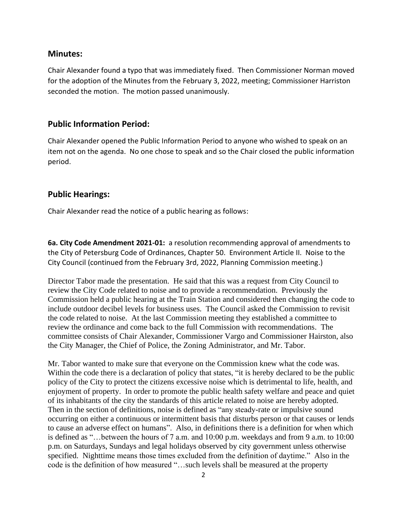### **Minutes:**

Chair Alexander found a typo that was immediately fixed. Then Commissioner Norman moved for the adoption of the Minutes from the February 3, 2022, meeting; Commissioner Harriston seconded the motion. The motion passed unanimously.

### **Public Information Period:**

Chair Alexander opened the Public Information Period to anyone who wished to speak on an item not on the agenda. No one chose to speak and so the Chair closed the public information period.

### **Public Hearings:**

Chair Alexander read the notice of a public hearing as follows:

**6a. City Code Amendment 2021-01:** a resolution recommending approval of amendments to the City of Petersburg Code of Ordinances, Chapter 50. Environment Article II. Noise to the City Council (continued from the February 3rd, 2022, Planning Commission meeting.)

Director Tabor made the presentation. He said that this was a request from City Council to review the City Code related to noise and to provide a recommendation. Previously the Commission held a public hearing at the Train Station and considered then changing the code to include outdoor decibel levels for business uses. The Council asked the Commission to revisit the code related to noise. At the last Commission meeting they established a committee to review the ordinance and come back to the full Commission with recommendations. The committee consists of Chair Alexander, Commissioner Vargo and Commissioner Hairston, also the City Manager, the Chief of Police, the Zoning Administrator, and Mr. Tabor.

Mr. Tabor wanted to make sure that everyone on the Commission knew what the code was. Within the code there is a declaration of policy that states, "it is hereby declared to be the public policy of the City to protect the citizens excessive noise which is detrimental to life, health, and enjoyment of property. In order to promote the public health safety welfare and peace and quiet of its inhabitants of the city the standards of this article related to noise are hereby adopted. Then in the section of definitions, noise is defined as "any steady-rate or impulsive sound occurring on either a continuous or intermittent basis that disturbs person or that causes or lends to cause an adverse effect on humans". Also, in definitions there is a definition for when which is defined as "…between the hours of 7 a.m. and 10:00 p.m. weekdays and from 9 a.m. to 10:00 p.m. on Saturdays, Sundays and legal holidays observed by city government unless otherwise specified. Nighttime means those times excluded from the definition of daytime." Also in the code is the definition of how measured "…such levels shall be measured at the property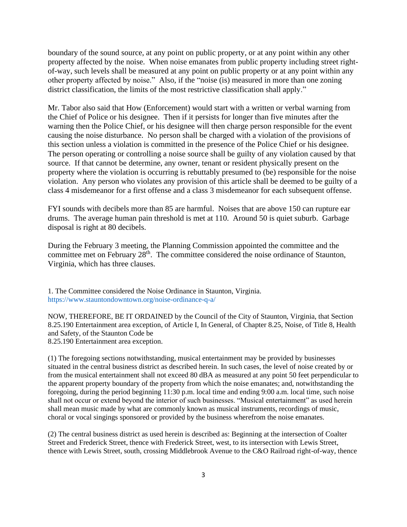boundary of the sound source, at any point on public property, or at any point within any other property affected by the noise. When noise emanates from public property including street rightof-way, such levels shall be measured at any point on public property or at any point within any other property affected by noise." Also, if the "noise (is) measured in more than one zoning district classification, the limits of the most restrictive classification shall apply."

Mr. Tabor also said that How (Enforcement) would start with a written or verbal warning from the Chief of Police or his designee. Then if it persists for longer than five minutes after the warning then the Police Chief, or his designee will then charge person responsible for the event causing the noise disturbance. No person shall be charged with a violation of the provisions of this section unless a violation is committed in the presence of the Police Chief or his designee. The person operating or controlling a noise source shall be guilty of any violation caused by that source. If that cannot be determine, any owner, tenant or resident physically present on the property where the violation is occurring is rebuttably presumed to (be) responsible for the noise violation. Any person who violates any provision of this article shall be deemed to be guilty of a class 4 misdemeanor for a first offense and a class 3 misdemeanor for each subsequent offense.

FYI sounds with decibels more than 85 are harmful. Noises that are above 150 can rupture ear drums. The average human pain threshold is met at 110. Around 50 is quiet suburb. Garbage disposal is right at 80 decibels.

During the February 3 meeting, the Planning Commission appointed the committee and the committee met on February 28<sup>th</sup>. The committee considered the noise ordinance of Staunton, Virginia, which has three clauses.

1. The Committee considered the Noise Ordinance in Staunton, Virginia. https://www.stauntondowntown.org/noise-ordinance-q-a/

NOW, THEREFORE, BE IT ORDAINED by the Council of the City of Staunton, Virginia, that Section 8.25.190 Entertainment area exception, of Article I, In General, of Chapter 8.25, Noise, of Title 8, Health and Safety, of the Staunton Code be

8.25.190 Entertainment area exception.

(1) The foregoing sections notwithstanding, musical entertainment may be provided by businesses situated in the central business district as described herein. In such cases, the level of noise created by or from the musical entertainment shall not exceed 80 dBA as measured at any point 50 feet perpendicular to the apparent property boundary of the property from which the noise emanates; and, notwithstanding the foregoing, during the period beginning 11:30 p.m. local time and ending 9:00 a.m. local time, such noise shall not occur or extend beyond the interior of such businesses. "Musical entertainment" as used herein shall mean music made by what are commonly known as musical instruments, recordings of music, choral or vocal singings sponsored or provided by the business wherefrom the noise emanates.

(2) The central business district as used herein is described as: Beginning at the intersection of Coalter Street and Frederick Street, thence with Frederick Street, west, to its intersection with Lewis Street, thence with Lewis Street, south, crossing Middlebrook Avenue to the C&O Railroad right-of-way, thence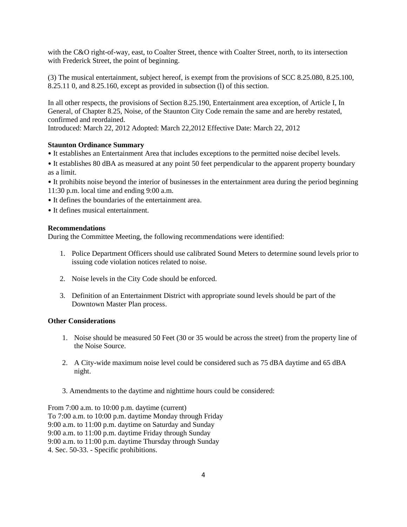with the C&O right-of-way, east, to Coalter Street, thence with Coalter Street, north, to its intersection with Frederick Street, the point of beginning.

(3) The musical entertainment, subject hereof, is exempt from the provisions of SCC 8.25.080, 8.25.100, 8.25.11 0, and 8.25.160, except as provided in subsection (l) of this section.

In all other respects, the provisions of Section 8.25.190, Entertainment area exception, of Article I, In General, of Chapter 8.25, Noise, of the Staunton City Code remain the same and are hereby restated, confirmed and reordained.

Introduced: March 22, 2012 Adopted: March 22,2012 Effective Date: March 22, 2012

#### **Staunton Ordinance Summary**

- It establishes an Entertainment Area that includes exceptions to the permitted noise decibel levels.
- It establishes 80 dBA as measured at any point 50 feet perpendicular to the apparent property boundary as a limit.
- It prohibits noise beyond the interior of businesses in the entertainment area during the period beginning 11:30 p.m. local time and ending 9:00 a.m.
- It defines the boundaries of the entertainment area.
- It defines musical entertainment.

#### **Recommendations**

During the Committee Meeting, the following recommendations were identified:

- 1. Police Department Officers should use calibrated Sound Meters to determine sound levels prior to issuing code violation notices related to noise.
- 2. Noise levels in the City Code should be enforced.
- 3. Definition of an Entertainment District with appropriate sound levels should be part of the Downtown Master Plan process.

#### **Other Considerations**

- 1. Noise should be measured 50 Feet (30 or 35 would be across the street) from the property line of the Noise Source.
- 2. A City-wide maximum noise level could be considered such as 75 dBA daytime and 65 dBA night.
- 3. Amendments to the daytime and nighttime hours could be considered:

From 7:00 a.m. to 10:00 p.m. daytime (current) To 7:00 a.m. to 10:00 p.m. daytime Monday through Friday 9:00 a.m. to 11:00 p.m. daytime on Saturday and Sunday 9:00 a.m. to 11:00 p.m. daytime Friday through Sunday 9:00 a.m. to 11:00 p.m. daytime Thursday through Sunday 4. Sec. 50-33. - Specific prohibitions.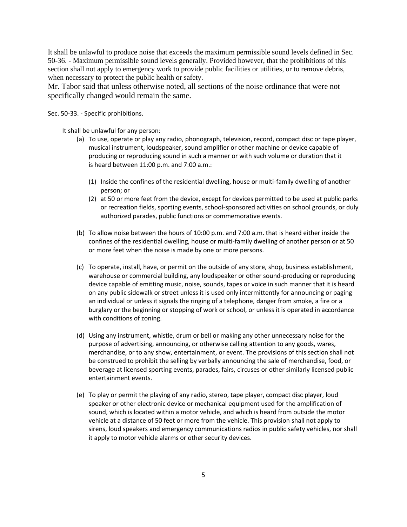It shall be unlawful to produce noise that exceeds the maximum permissible sound levels defined in Sec. 50-36. - Maximum permissible sound levels generally. Provided however, that the prohibitions of this section shall not apply to emergency work to provide public facilities or utilities, or to remove debris, when necessary to protect the public health or safety.

Mr. Tabor said that unless otherwise noted, all sections of the noise ordinance that were not specifically changed would remain the same.

Sec. 50-33. - Specific prohibitions.

It shall be unlawful for any person:

- (a) To use, operate or play any radio, phonograph, television, record, compact disc or tape player, musical instrument, loudspeaker, sound amplifier or other machine or device capable of producing or reproducing sound in such a manner or with such volume or duration that it is heard between 11:00 p.m. and 7:00 a.m.:
	- (1) Inside the confines of the residential dwelling, house or multi-family dwelling of another person; or
	- (2) at 50 or more feet from the device, except for devices permitted to be used at public parks or recreation fields, sporting events, school-sponsored activities on school grounds, or duly authorized parades, public functions or commemorative events.
- (b) To allow noise between the hours of 10:00 p.m. and 7:00 a.m. that is heard either inside the confines of the residential dwelling, house or multi-family dwelling of another person or at 50 or more feet when the noise is made by one or more persons.
- (c) To operate, install, have, or permit on the outside of any store, shop, business establishment, warehouse or commercial building, any loudspeaker or other sound-producing or reproducing device capable of emitting music, noise, sounds, tapes or voice in such manner that it is heard on any public sidewalk or street unless it is used only intermittently for announcing or paging an individual or unless it signals the ringing of a telephone, danger from smoke, a fire or a burglary or the beginning or stopping of work or school, or unless it is operated in accordance with conditions of zoning.
- (d) Using any instrument, whistle, drum or bell or making any other unnecessary noise for the purpose of advertising, announcing, or otherwise calling attention to any goods, wares, merchandise, or to any show, entertainment, or event. The provisions of this section shall not be construed to prohibit the selling by verbally announcing the sale of merchandise, food, or beverage at licensed sporting events, parades, fairs, circuses or other similarly licensed public entertainment events.
- (e) To play or permit the playing of any radio, stereo, tape player, compact disc player, loud speaker or other electronic device or mechanical equipment used for the amplification of sound, which is located within a motor vehicle, and which is heard from outside the motor vehicle at a distance of 50 feet or more from the vehicle. This provision shall not apply to sirens, loud speakers and emergency communications radios in public safety vehicles, nor shall it apply to motor vehicle alarms or other security devices.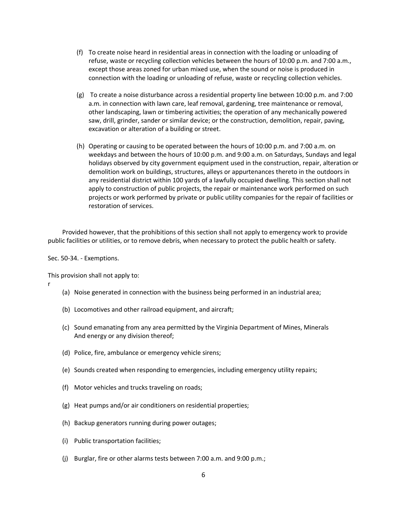- (f) To create noise heard in residential areas in connection with the loading or unloading of refuse, waste or recycling collection vehicles between the hours of 10:00 p.m. and 7:00 a.m., except those areas zoned for urban mixed use, when the sound or noise is produced in connection with the loading or unloading of refuse, waste or recycling collection vehicles.
- (g) To create a noise disturbance across a residential property line between 10:00 p.m. and 7:00 a.m. in connection with lawn care, leaf removal, gardening, tree maintenance or removal, other landscaping, lawn or timbering activities; the operation of any mechanically powered saw, drill, grinder, sander or similar device; or the construction, demolition, repair, paving, excavation or alteration of a building or street.
- (h) Operating or causing to be operated between the hours of 10:00 p.m. and 7:00 a.m. on weekdays and between the hours of 10:00 p.m. and 9:00 a.m. on Saturdays, Sundays and legal holidays observed by city government equipment used in the construction, repair, alteration or demolition work on buildings, structures, alleys or appurtenances thereto in the outdoors in any residential district within 100 yards of a lawfully occupied dwelling. This section shall not apply to construction of public projects, the repair or maintenance work performed on such projects or work performed by private or public utility companies for the repair of facilities or restoration of services.

Provided however, that the prohibitions of this section shall not apply to emergency work to provide public facilities or utilities, or to remove debris, when necessary to protect the public health or safety.

Sec. 50-34. - Exemptions.

This provision shall not apply to:

- r
- (a) Noise generated in connection with the business being performed in an industrial area;
- (b) Locomotives and other railroad equipment, and aircraft;
- (c) Sound emanating from any area permitted by the Virginia Department of Mines, Minerals And energy or any division thereof;
- (d) Police, fire, ambulance or emergency vehicle sirens;
- (e) Sounds created when responding to emergencies, including emergency utility repairs;
- (f) Motor vehicles and trucks traveling on roads;
- (g) Heat pumps and/or air conditioners on residential properties;
- (h) Backup generators running during power outages;
- (i) Public transportation facilities;
- (j) Burglar, fire or other alarms tests between 7:00 a.m. and 9:00 p.m.;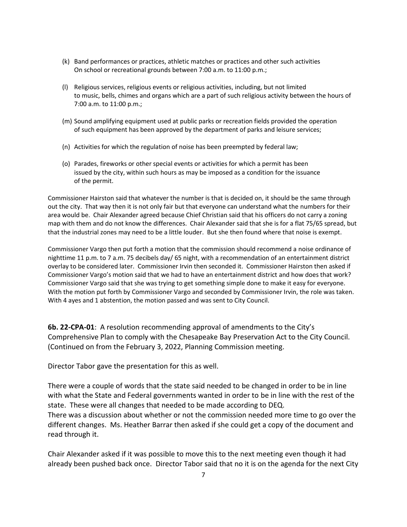- (k) Band performances or practices, athletic matches or practices and other such activities On school or recreational grounds between 7:00 a.m. to 11:00 p.m.;
- (l) Religious services, religious events or religious activities, including, but not limited to music, bells, chimes and organs which are a part of such religious activity between the hours of 7:00 a.m. to 11:00 p.m.;
- (m) Sound amplifying equipment used at public parks or recreation fields provided the operation of such equipment has been approved by the department of parks and leisure services;
- (n) Activities for which the regulation of noise has been preempted by federal law;
- (o) Parades, fireworks or other special events or activities for which a permit has been issued by the city, within such hours as may be imposed as a condition for the issuance of the permit.

Commissioner Hairston said that whatever the number is that is decided on, it should be the same through out the city. That way then it is not only fair but that everyone can understand what the numbers for their area would be. Chair Alexander agreed because Chief Christian said that his officers do not carry a zoning map with them and do not know the differences. Chair Alexander said that she is for a flat 75/65 spread, but that the industrial zones may need to be a little louder. But she then found where that noise is exempt.

Commissioner Vargo then put forth a motion that the commission should recommend a noise ordinance of nighttime 11 p.m. to 7 a.m. 75 decibels day/ 65 night, with a recommendation of an entertainment district overlay to be considered later. Commissioner Irvin then seconded it. Commissioner Hairston then asked if Commissioner Vargo's motion said that we had to have an entertainment district and how does that work? Commissioner Vargo said that she was trying to get something simple done to make it easy for everyone. With the motion put forth by Commissioner Vargo and seconded by Commissioner Irvin, the role was taken. With 4 ayes and 1 abstention, the motion passed and was sent to City Council.

**6b. 22-CPA-01**: A resolution recommending approval of amendments to the City's Comprehensive Plan to comply with the Chesapeake Bay Preservation Act to the City Council. (Continued on from the February 3, 2022, Planning Commission meeting.

Director Tabor gave the presentation for this as well.

There were a couple of words that the state said needed to be changed in order to be in line with what the State and Federal governments wanted in order to be in line with the rest of the state. These were all changes that needed to be made according to DEQ. There was a discussion about whether or not the commission needed more time to go over the

different changes. Ms. Heather Barrar then asked if she could get a copy of the document and read through it.

Chair Alexander asked if it was possible to move this to the next meeting even though it had already been pushed back once. Director Tabor said that no it is on the agenda for the next City